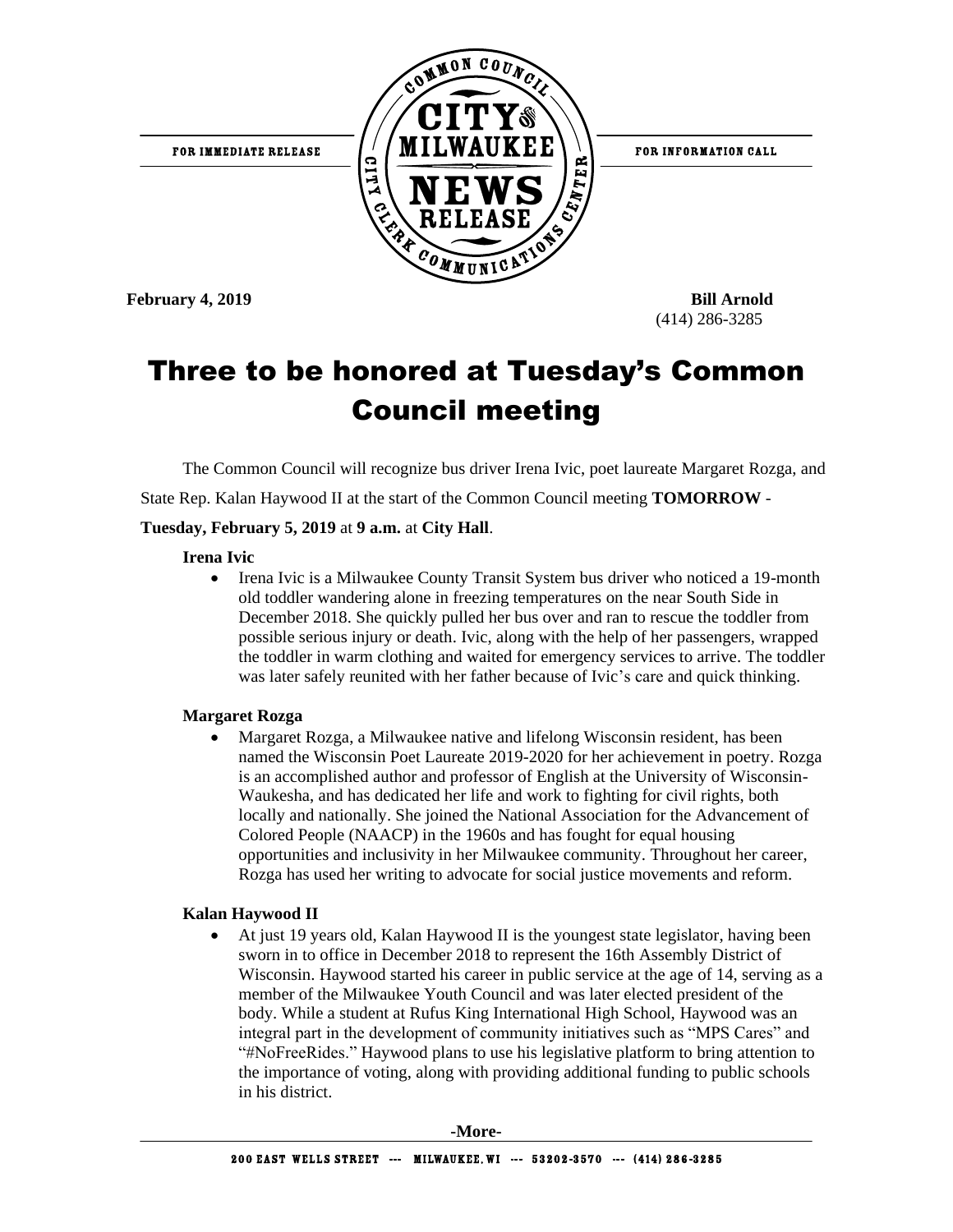

# Three to be honored at Tuesday's Common Council meeting

The Common Council will recognize bus driver Irena Ivic, poet laureate Margaret Rozga, and

State Rep. Kalan Haywood II at the start of the Common Council meeting **TOMORROW** -

#### **Tuesday, February 5, 2019** at **9 a.m.** at **City Hall**.

#### **Irena Ivic**

• Irena Ivic is a Milwaukee County Transit System bus driver who noticed a 19-month old toddler wandering alone in freezing temperatures on the near South Side in December 2018. She quickly pulled her bus over and ran to rescue the toddler from possible serious injury or death. Ivic, along with the help of her passengers, wrapped the toddler in warm clothing and waited for emergency services to arrive. The toddler was later safely reunited with her father because of Ivic's care and quick thinking.

#### **Margaret Rozga**

 Margaret Rozga, a Milwaukee native and lifelong Wisconsin resident, has been named the Wisconsin Poet Laureate 2019-2020 for her achievement in poetry. Rozga is an accomplished author and professor of English at the University of Wisconsin-Waukesha, and has dedicated her life and work to fighting for civil rights, both locally and nationally. She joined the National Association for the Advancement of Colored People (NAACP) in the 1960s and has fought for equal housing opportunities and inclusivity in her Milwaukee community. Throughout her career, Rozga has used her writing to advocate for social justice movements and reform.

#### **Kalan Haywood II**

 At just 19 years old, Kalan Haywood II is the youngest state legislator, having been sworn in to office in December 2018 to represent the 16th Assembly District of Wisconsin. Haywood started his career in public service at the age of 14, serving as a member of the Milwaukee Youth Council and was later elected president of the body. While a student at Rufus King International High School, Haywood was an integral part in the development of community initiatives such as "MPS Cares" and "#NoFreeRides." Haywood plans to use his legislative platform to bring attention to the importance of voting, along with providing additional funding to public schools in his district.